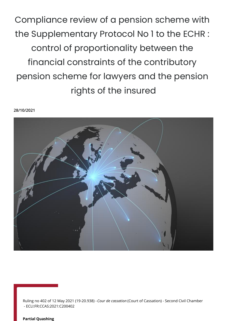Compliance review of a pension scheme with the Supplementary Protocol No 1 to the ECHR : control of proportionality between the financial constraints of the contributory pension scheme for lawyers and the pension rights of the insured

#### **28/10/2021**



Ruling no 402 of 12 May 2021 (19-20.938) - *Cour de cassation* (Court of Cassation) - Second Civil Chamber - ECLI:FR:CCAS:2021:C200402

#### **Partial Quashing**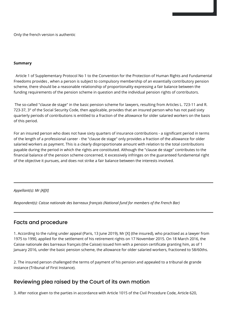Only the french version is authentic

#### **Summary**

 Article 1 of Supplementary Protocol No 1 to the Convention for the Protection of Human Rights and Fundamental Freedoms provides , when a person is subject to compulsory membership of an essentially contributory pension scheme, there should be a reasonable relationship of proportionality expressing a fair balance between the funding requirements of the pension scheme in question and the individual pension rights of contributors.

 The so-called "clause de stage" in the basic pension scheme for lawyers, resulting from Articles L. 723-11 and R. 723-37, 3° of the Social Security Code, then applicable, provides that an insured person who has not paid sixty quarterly periods of contributions is entitled to a fraction of the allowance for older salaried workers on the basis of this period.

For an insured person who does not have sixty quarters of insurance contributions - a significant period in terms of the length of a professional career - the "clause de stage" only provides a fraction of the allowance for older salaried workers as payment. This is a clearly disproportionate amount with relation to the total contributions payable during the period in which the rights are constituted. Although the "clause de stage" contributes to the financial balance of the pension scheme concerned, it excessively infringes on the guaranteed fundamental right of the objective it pursues, and does not strike a fair balance between the interests involved.

### *Appellant(s): Mr [A][X]*

*Respondent(s): Caisse nationale des barreaux français (National fund for members of the French Bar)*

## Facts and procedure

1. According to the ruling under appeal (Paris, 13 June 2019), Mr [X] (the insured), who practised as a lawyer from 1975 to 1990, applied for the settlement of his retirement rights on 17 November 2015. On 18 March 2016, the Caisse nationale des barreaux français (the Caisse) issued him with a pension certificate granting him, as of 1 January 2016, under the basic pension scheme, the allowance for older salaried workers, fractioned to 58/60ths.

2. The insured person challenged the terms of payment of his pension and appealed to a tribunal de grande instance (Tribunal of First Instance).

## Reviewing plea raised by the Court of its own motion

3. After notice given to the parties in accordance with Article 1015 of the Civil Procedure Code, Article 620,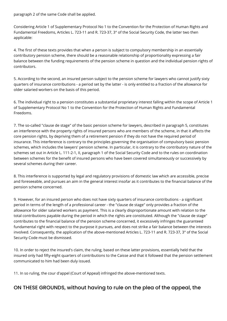paragraph 2 of the same Code shall be applied.

Considering Article 1 of Supplementary Protocol No 1 to the Convention for the Protection of Human Rights and Fundamental Freedoms, Articles L. 723-11 and R. 723-37, 3° of the Social Security Code, the latter two then applicable:

4. The first of these texts provides that when a person is subject to compulsory membership in an essentially contributory pension scheme, there should be a reasonable relationship of proportionality expressing a fair balance between the funding requirements of the pension scheme in question and the individual pension rights of contributors.

5. According to the second, an insured person subject to the pension scheme for lawyers who cannot justify sixty quarters of insurance contributions - a period set by the latter - is only entitled to a fraction of the allowance for older salaried workers on the basis of this period.

6. The individual right to a pension constitutes a substantial proprietary interest falling within the scope of Article 1 of Supplementary Protocol No 1 to the Convention for the Protection of Human Rights and Fundamental Freedoms.

7. The so-called "clause de stage" of the basic pension scheme for lawyers, described in paragraph 5, constitutes an interference with the property rights of insured persons who are members of the scheme, in that it affects the core pension rights, by depriving them of a retirement pension if they do not have the required period of insurance. This interference is contrary to the principles governing the organisation of compulsory basic pension schemes, which includes the lawyers' pension scheme. In particular, it is contrary to the contributory nature of the schemes set out in Article L. 111-2-1, II, paragraph 1 of the Social Security Code and to the rules on coordination between schemes for the benefit of insured persons who have been covered simultaneously or successively by several schemes during their career.

8. This interference is supported by legal and regulatory provisions of domestic law which are accessible, precise and foreseeable, and pursues an aim in the general interest insofar as it contributes to the financial balance of the pension scheme concerned.

9. However, for an insured person who does not have sixty quarters of insurance contributions - a significant period in terms of the length of a professional career - the "clause de stage" only provides a fraction of the allowance for older salaried workers as payment. This is a clearly disproportionate amount with relation to the total contributions payable during the period in which the rights are constituted. Although the "clause de stage" contributes to the financial balance of the pension scheme concerned, it excessively infringes the guaranteed fundamental right with respect to the purpose it pursues, and does not strike a fair balance between the interests involved. Consequently, the application of the above-mentioned Articles L. 723-11 and R. 723-37, 3° of the Social Security Code must be dismissed.

10. In order to reject the insured's claim, the ruling, based on these latter provisions, essentially held that the insured only had fifty-eight quarters of contributions to the Caisse and that it followed that the pension settlement communicated to him had been duly issued.

11. In so ruling, the cour d'appel (Court of Appeal) infringed the above-mentioned texts.

# ON THESE GROUNDS, without having to rule on the plea of the appeal, the